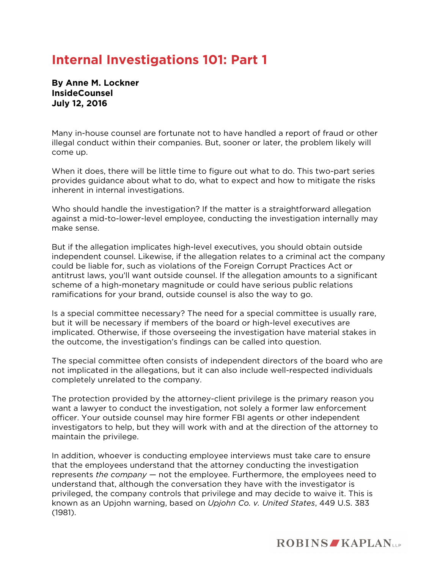## **Internal Investigations 101: Part 1**

**By Anne M. Lockner InsideCounsel July 12, 2016** 

Many in-house counsel are fortunate not to have handled a report of fraud or other illegal conduct within their companies. But, sooner or later, the problem likely will come up.

When it does, there will be little time to figure out what to do. This two-part series provides guidance about what to do, what to expect and how to mitigate the risks inherent in internal investigations.

Who should handle the investigation? If the matter is a straightforward allegation against a mid-to-lower-level employee, conducting the investigation internally may make sense.

But if the allegation implicates high-level executives, you should obtain outside independent counsel. Likewise, if the allegation relates to a criminal act the company could be liable for, such as violations of the Foreign Corrupt Practices Act or antitrust laws, you'll want outside counsel. If the allegation amounts to a significant scheme of a high-monetary magnitude or could have serious public relations ramifications for your brand, outside counsel is also the way to go.

Is a special committee necessary? The need for a special committee is usually rare, but it will be necessary if members of the board or high-level executives are implicated. Otherwise, if those overseeing the investigation have material stakes in the outcome, the investigation's findings can be called into question.

The special committee often consists of independent directors of the board who are not implicated in the allegations, but it can also include well-respected individuals completely unrelated to the company.

The protection provided by the attorney-client privilege is the primary reason you want a lawyer to conduct the investigation, not solely a former law enforcement officer. Your outside counsel may hire former FBI agents or other independent investigators to help, but they will work with and at the direction of the attorney to maintain the privilege.

In addition, whoever is conducting employee interviews must take care to ensure that the employees understand that the attorney conducting the investigation represents *the company* — not the employee. Furthermore, the employees need to understand that, although the conversation they have with the investigator is privileged, the company controls that privilege and may decide to waive it. This is known as an Upjohn warning, based on *Upjohn Co. v. United States*, 449 U.S. 383 (1981).